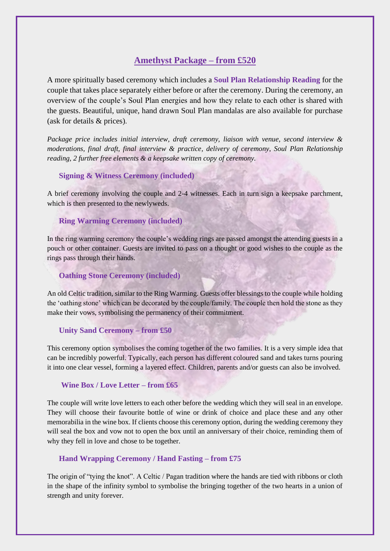# **Amethyst Package – from £520**

A more spiritually based ceremony which includes a **Soul Plan Relationship Reading** for the couple that takes place separately either before or after the ceremony. During the ceremony, an overview of the couple's Soul Plan energies and how they relate to each other is shared with the guests. Beautiful, unique, hand drawn Soul Plan mandalas are also available for purchase (ask for details & prices).

*Package price includes initial interview, draft ceremony, liaison with venue, second interview & moderations, final draft, final interview & practice, delivery of ceremony, Soul Plan Relationship reading, 2 further free elements & a keepsake written copy of ceremony.*

# **Signing & Witness Ceremony (included)**

A brief ceremony involving the couple and 2-4 witnesses. Each in turn sign a keepsake parchment, which is then presented to the newlyweds.

# **Ring Warming Ceremony (included)**

In the ring warming ceremony the couple's wedding rings are passed amongst the attending guests in a pouch or other container. Guests are invited to pass on a thought or good wishes to the couple as the rings pass through their hands.

# **Oathing Stone Ceremony (included)**

An old Celtic tradition, similar to the Ring Warming. Guests offer blessings to the couple while holding the 'oathing stone' which can be decorated by the couple/family. The couple then hold the stone as they make their vows, symbolising the permanency of their commitment.

# **Unity Sand Ceremony – from £50**

This ceremony option symbolises the coming together of the two families. It is a very simple idea that can be incredibly powerful. Typically, each person has different coloured sand and takes turns pouring it into one clear vessel, forming a layered effect. Children, parents and/or guests can also be involved.

# **Wine Box / Love Letter – from £65**

The couple will write love letters to each other before the wedding which they will seal in an envelope. They will choose their favourite bottle of wine or drink of choice and place these and any other memorabilia in the wine box. If clients choose this ceremony option, during the wedding ceremony they will seal the box and vow not to open the box until an anniversary of their choice, reminding them of why they fell in love and chose to be together.

# **Hand Wrapping Ceremony / Hand Fasting – from £75**

The origin of "tying the knot". A Celtic / Pagan tradition where the hands are tied with ribbons or cloth in the shape of the infinity symbol to symbolise the bringing together of the two hearts in a union of strength and unity forever.